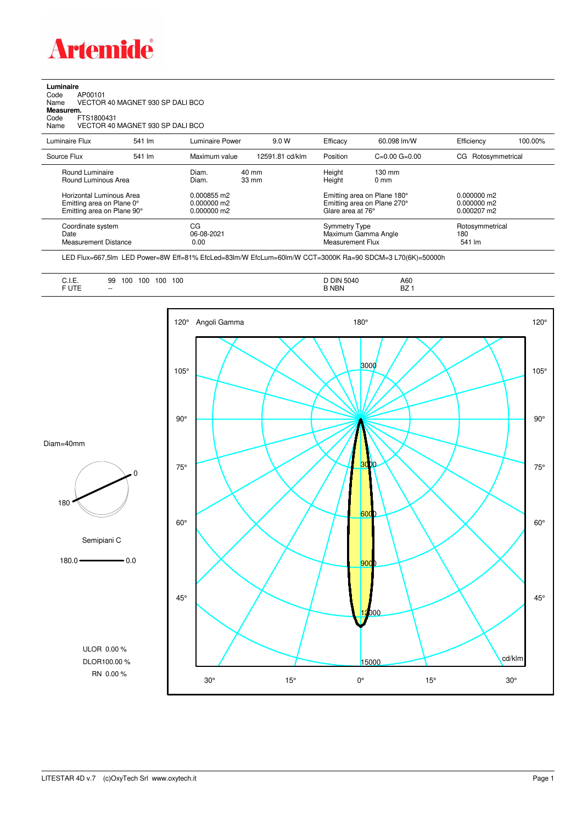

## **Luminaire**

| Code      | AP00101                          |
|-----------|----------------------------------|
| Name      | VECTOR 40 MAGNET 930 SP DALI BCO |
| Measurem. |                                  |
| Code      | FTS1800431                       |
| Name      | VECTOR 40 MAGNET 930 SP DALI BCO |
|           |                                  |

| Luminaire Flux                                                                      | 541 lm | Luminaire Power                               | 9.0 W                    | Efficacy                          | 60.098 lm/W                                                                     | Efficiency                       | 100.00% |
|-------------------------------------------------------------------------------------|--------|-----------------------------------------------|--------------------------|-----------------------------------|---------------------------------------------------------------------------------|----------------------------------|---------|
| Source Flux                                                                         | 541 lm | Maximum value                                 | 12591.81 cd/klm          | Position                          | $C=0.00$ $G=0.00$                                                               | CG Rotosymmetrical               |         |
| Round Luminaire<br>Round Luminous Area                                              |        | Diam.<br>Diam.                                | 40 mm<br>$33 \text{ mm}$ |                                   | $130 \text{ mm}$<br>$0 \text{ mm}$                                              |                                  |         |
| Horizontal Luminous Area<br>Emitting area on Plane 0°<br>Emitting area on Plane 90° |        | 0.000855 m2<br>$0.000000$ m2<br>$0.000000$ m2 |                          |                                   | Emitting area on Plane 180°<br>Emitting area on Plane 270°<br>Glare area at 76° |                                  |         |
| Coordinate system<br>Date<br>Measurement Distance                                   |        | CG<br>06-08-2021<br>0.00                      |                          | Symmetry Type<br>Measurement Flux | Maximum Gamma Angle                                                             | Rotosymmetrical<br>180<br>541 lm |         |

LED Flux=667,5lm LED Power=8W Eff=81% EfcLed=83lm/W EfcLum=60lm/W CCT=3000K Ra=90 SDCM=3 L70(6K)=50000h